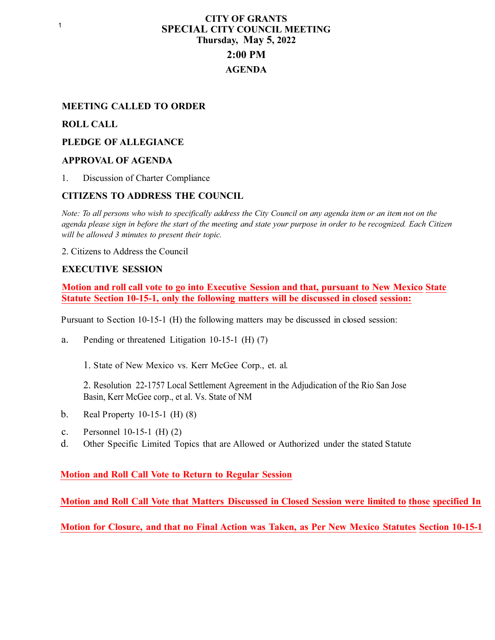# **CITY OF GRANTS SPECIAL CITY COUNCIL MEETING Thursday, May 5, 2022 2:00 PM AGENDA**

### **MEETING CALLED TO ORDER**

#### **ROLL CALL**

#### **PLEDGE OF ALLEGIANCE**

#### **APPROVAL OF AGENDA**

1. Discussion of Charter Compliance

#### **CITIZENS TO ADDRESS THE COUNCIL**

*Note: To all persons who wish to specifically address the City Council on any agenda item or an item not on the agenda please sign in before the start of the meeting and state your purpose in order to be recognized. Each Citizen will be allowed 3 minutes to present their topic.*

2. Citizens to Address the Council

#### **EXECUTIVE SESSION**

**Motion and roll call vote to go into Executive Session and that, pursuant to New Mexico State Statute Section 10-15-1, only the following matters will be discussed in closed session:**

Pursuant to Section 10-15-1 (H) the following matters may be discussed in closed session:

a. Pending or threatened Litigation 10-15-1 (H) (7)

1. State of New Mexico vs. Kerr McGee Corp., et. al.

2. Resolution 22-1757 Local Settlement Agreement in the Adjudication of the Rio San Jose Basin, Kerr McGee corp., et al. Vs. State of NM

- b. Real Property 10-15-1 (H) (8)
- c. Personnel 10-15-1 (H) (2)
- d. Other Specific Limited Topics that are Allowed or Authorized under the stated Statute

#### **Motion and Roll Call Vote to Return to Regular Session**

**Motion and Roll Call Vote that Matters Discussed in Closed Session were limited to those specified In** 

**Motion for Closure, and that no Final Action was Taken, as Per New Mexico Statutes Section 10-15-1**